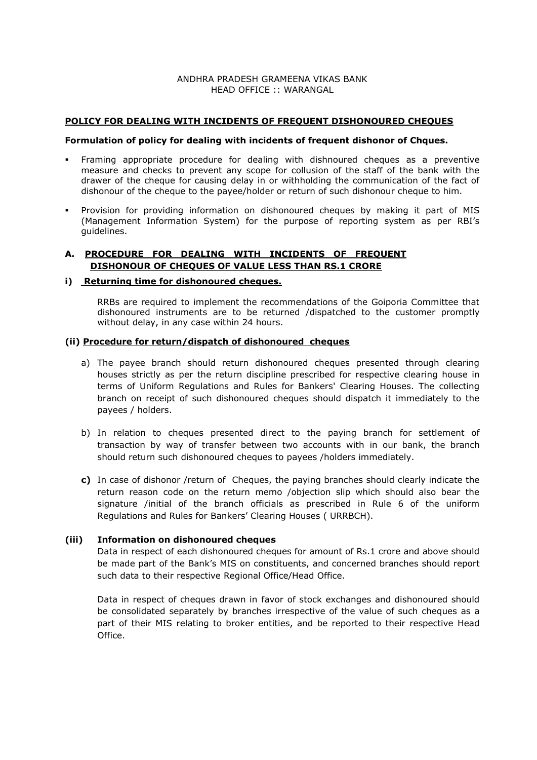### ANDHRA PRADESH GRAMEENA VIKAS BANK HEAD OFFICE :: WARANGAL

#### **POLICY FOR DEALING WITH INCIDENTS OF FREQUENT DISHONOURED CHEQUES**

#### **Formulation of policy for dealing with incidents of frequent dishonor of Chques.**

- Framing appropriate procedure for dealing with dishnoured cheques as a preventive measure and checks to prevent any scope for collusion of the staff of the bank with the drawer of the cheque for causing delay in or withholding the communication of the fact of dishonour of the cheque to the payee/holder or return of such dishonour cheque to him.
- Provision for providing information on dishonoured cheques by making it part of MIS (Management Information System) for the purpose of reporting system as per RBI's guidelines.

# **A. PROCEDURE FOR DEALING WITH INCIDENTS OF FREQUENT DISHONOUR OF CHEQUES OF VALUE LESS THAN RS.1 CRORE**

#### **i) Returning time for dishonoured cheques.**

RRBs are required to implement the recommendations of the Goiporia Committee that dishonoured instruments are to be returned /dispatched to the customer promptly without delay, in any case within 24 hours.

#### **(ii) Procedure for return/dispatch of dishonoured cheques**

- a) The payee branch should return dishonoured cheques presented through clearing houses strictly as per the return discipline prescribed for respective clearing house in terms of Uniform Regulations and Rules for Bankers' Clearing Houses. The collecting branch on receipt of such dishonoured cheques should dispatch it immediately to the payees / holders.
- b) In relation to cheques presented direct to the paying branch for settlement of transaction by way of transfer between two accounts with in our bank, the branch should return such dishonoured cheques to payees /holders immediately.
- **c)** In case of dishonor /return of Cheques, the paying branches should clearly indicate the return reason code on the return memo /objection slip which should also bear the signature /initial of the branch officials as prescribed in Rule 6 of the uniform Regulations and Rules for Bankers' Clearing Houses ( URRBCH).

### **(iii) Information on dishonoured cheques**

Data in respect of each dishonoured cheques for amount of Rs.1 crore and above should be made part of the Bank's MIS on constituents, and concerned branches should report such data to their respective Regional Office/Head Office.

Data in respect of cheques drawn in favor of stock exchanges and dishonoured should be consolidated separately by branches irrespective of the value of such cheques as a part of their MIS relating to broker entities, and be reported to their respective Head Office.